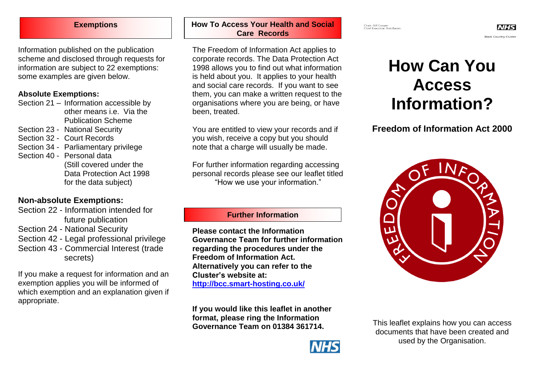Information published on the publication scheme and disclosed through requests for information are subject to 22 exemptions: some examples are given below.

#### **Absolute Exemptions:**

- Section 21 Information accessible by other means i.e. Via the Publication Scheme
- Section 23 National Security
- Section 32 Court Records
- Section 34 Parliamentary privilege
- Section 40 Personal data (Still covered under the Data Protection Act 1998 for the data subject)

# **Non-absolute Exemptions:**

- Section 22 Information intended for future publication
- Section 24 National Security
- Section 42 Legal professional privilege
- Section 43 Commercial Interest (trade secrets)

If you make a request for information and an exemption applies you will be informed of which exemption and an explanation given if appropriate.

#### **Exemptions How To Access Your Health and Social Care Records**

The Freedom of Information Act applies to corporate records. The Data Protection Act 1998 allows you to find out what information is held about you. It applies to your health and social care records. If you want to see them, you can make a written request to the organisations where you are being, or have been, treated.

You are entitled to view your records and if you wish, receive a copy but you should note that a charge will usually be made.

For further information regarding accessing personal records please see our leaflet titled "How we use your information."

## **Further Information**

**Please contact the Information Governance Team for further information regarding the procedures under the Freedom of Information Act. Alternatively you can refer to the Cluster's website at: <http://bcc.smart-hosting.co.uk/>**

**If you would like this leaflet in another format, please ring the Information Governance Team on 01384 361714.**



# **How Can You Access Information?**

# **Freedom of Information Act 2000**



This leaflet explains how you can access documents that have been created and used by the Organisation.

Chair: Gill Cooper<br>Chief Executive: Rob Bacon